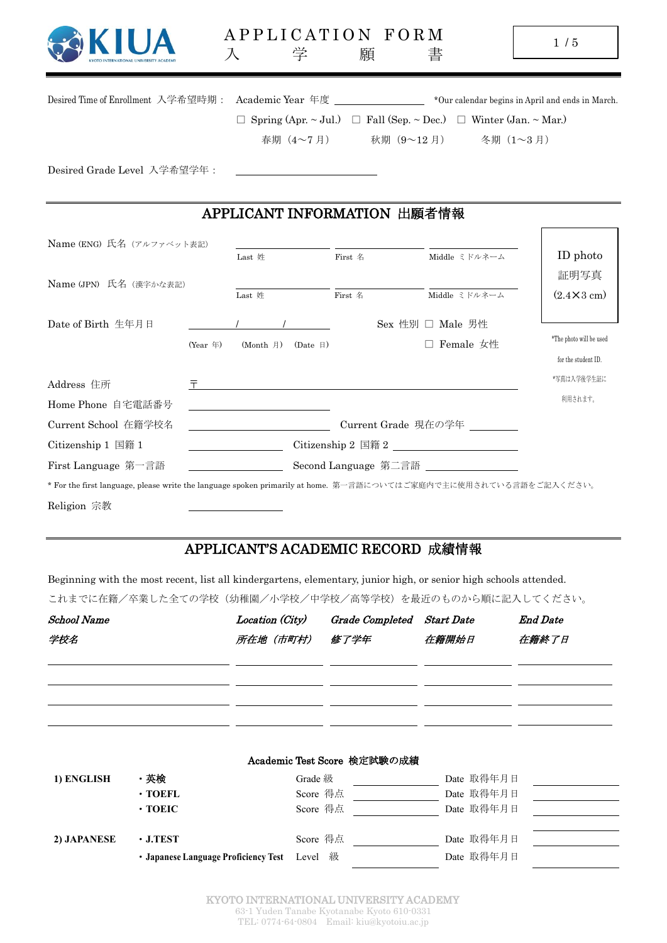| KYOTO INTERNATIONAL UNIVERSITY ACADEMY |
|----------------------------------------|
|                                        |

| Desired Time of Enrollment 入学希望時期:                                                                               |                 | Academic Year 年度 _________________  |                                                                            |                  |               | *Our calendar begins in April and ends in March. |
|------------------------------------------------------------------------------------------------------------------|-----------------|-------------------------------------|----------------------------------------------------------------------------|------------------|---------------|--------------------------------------------------|
|                                                                                                                  |                 |                                     | Spring (Apr. ~ Jul.) $\Box$ Fall (Sep. ~ Dec.) $\Box$ Winter (Jan. ~ Mar.) |                  |               |                                                  |
|                                                                                                                  |                 | 春期 (4~7月)                           | 秋期 (9~12月) 冬期 (1~3月)                                                       |                  |               |                                                  |
| Desired Grade Level 入学希望学年:                                                                                      |                 |                                     |                                                                            |                  |               |                                                  |
|                                                                                                                  |                 | APPLICANT INFORMATION 出願者情報         |                                                                            |                  |               |                                                  |
| Name (ENG) 氏名 (アルファベット表記)                                                                                        |                 |                                     |                                                                            |                  |               |                                                  |
|                                                                                                                  |                 | Last 姓                              | First 名                                                                    |                  | Middle ミドルネーム | ID photo                                         |
| Name (JPN) 氏名 (漢字かな表記)                                                                                           |                 |                                     |                                                                            |                  |               | 証明写真                                             |
|                                                                                                                  |                 | Last 姓                              | First 名                                                                    |                  | Middle ミドルネーム | $(2.4 \times 3 \text{ cm})$                      |
| Date of Birth 生年月日                                                                                               |                 |                                     |                                                                            | Sex 性別 □ Male 男性 |               |                                                  |
|                                                                                                                  | $(Year \notin)$ | (Month 月)<br>$(Date \; \mathbb{F})$ |                                                                            | □ Female 女性      |               | *The photo will be used                          |
|                                                                                                                  |                 |                                     |                                                                            |                  |               | for the student ID.                              |
| 〒<br>Address 住所                                                                                                  |                 |                                     |                                                                            |                  |               | *写真は入学後学生証に                                      |
| Home Phone 自宅電話番号                                                                                                |                 |                                     |                                                                            |                  |               | 利用されます。                                          |
| Current School 在籍学校名                                                                                             |                 |                                     | Current Grade 現在の学年                                                        |                  |               |                                                  |
| Citizenship 1 国籍 1                                                                                               |                 |                                     |                                                                            |                  |               |                                                  |
| First Language 第一言語                                                                                              |                 |                                     | Second Language 第二言語                                                       |                  |               |                                                  |
| * For the first language, please write the language spoken primarily at home. 第一言語についてはご家庭内で主に使用されている言語をご記入ください。 |                 |                                     |                                                                            |                  |               |                                                  |

## Religion 宗教

## APPLICANT'S ACADEMIC RECORD 成績情報

Beginning with the most recent, list all kindergartens, elementary, junior high, or senior high schools attended. これまでに在籍/卒業した全ての学校(幼稚園/小学校/中学校/高等学校)を最近のものから順に記入してください。

| <b>School Name</b><br>学校名 | Location (City)<br>所在地(市町村)   修了学年 | Grade Completed Start Date | 在籍開始日 | <b>End Date</b><br>在籍終了日 |
|---------------------------|------------------------------------|----------------------------|-------|--------------------------|
|                           |                                    |                            |       |                          |
|                           |                                    |                            |       |                          |

|             |                                      | Academic Test Score 検定試験の成績 |            |
|-------------|--------------------------------------|-----------------------------|------------|
| 1) ENGLISH  | ・英検                                  | Grade 級                     | Date 取得年月日 |
|             | $\cdot$ TOEFL                        | Score 得点                    | Date 取得年月日 |
|             | $\cdot$ TOEIC                        | Score 得点                    | Date 取得年月日 |
|             |                                      |                             |            |
| 2) JAPANESE | $\cdot$ J.TEST                       | Score 得点                    | Date 取得年月日 |
|             | · Japanese Language Proficiency Test | Level 級                     | Date 取得年月日 |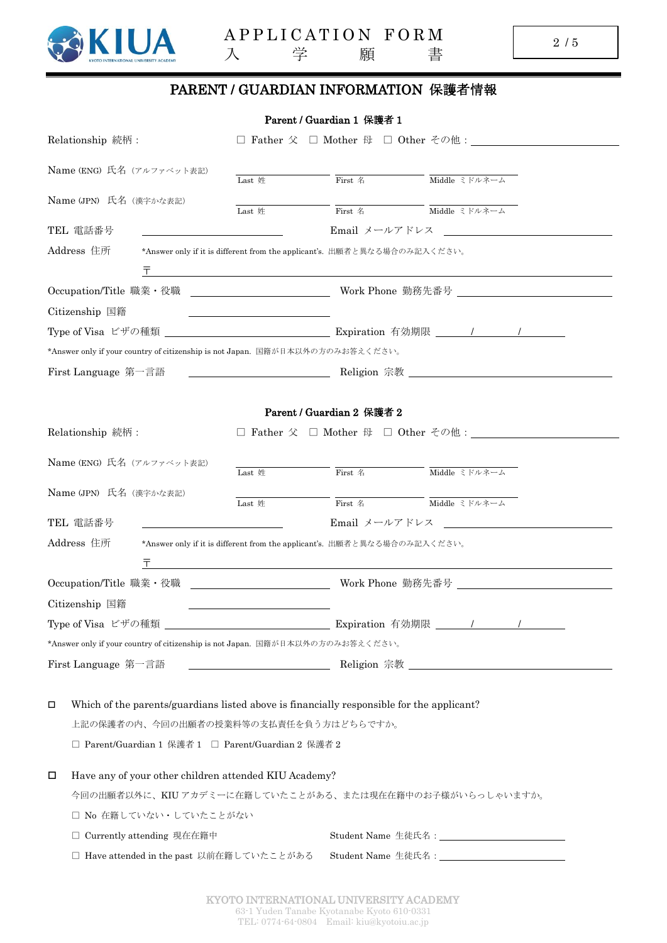

## PARENT / GUARDIAN INFORMATION 保護者情報

|   |                             |                                                                               | Parent / Guardian 1 保護者 1                                                                 |                                                                                                     |
|---|-----------------------------|-------------------------------------------------------------------------------|-------------------------------------------------------------------------------------------|-----------------------------------------------------------------------------------------------------|
|   | Relationship 続柄:            |                                                                               |                                                                                           |                                                                                                     |
|   | Name (ENG) 氏名 (アルファベット表記)   | Last 姓                                                                        | First 名                                                                                   | Middle ミドルネーム                                                                                       |
|   |                             |                                                                               |                                                                                           |                                                                                                     |
|   | Name (JPN) 氏名 (漢字かな表記)      | Last 姓                                                                        | First 名                                                                                   | Middle ミドルネーム                                                                                       |
|   | TEL 電話番号                    |                                                                               | Email メールアドレス                                                                             |                                                                                                     |
|   | Address 住所                  |                                                                               | *Answer only if it is different from the applicant's. 出願者と異なる場合のみ記入ください。                  |                                                                                                     |
|   | Ŧ                           |                                                                               |                                                                                           |                                                                                                     |
|   |                             |                                                                               |                                                                                           | Occupation/Title 職業・役職 ______________________________Work Phone 勤務先番号 _____________________________ |
|   | Citizenship 国籍              |                                                                               |                                                                                           |                                                                                                     |
|   |                             |                                                                               |                                                                                           |                                                                                                     |
|   |                             | *Answer only if your country of citizenship is not Japan. 国籍が日本以外の方のみお答えください。 |                                                                                           |                                                                                                     |
|   | First Language 第一言語         |                                                                               |                                                                                           | Religion 宗教                                                                                         |
|   |                             |                                                                               |                                                                                           |                                                                                                     |
|   |                             |                                                                               | Parent / Guardian 2 保護者 2                                                                 |                                                                                                     |
|   | Relationship 続柄:            |                                                                               |                                                                                           |                                                                                                     |
|   | Name (ENG) 氏名 (アルファベット表記)   |                                                                               |                                                                                           |                                                                                                     |
|   |                             | Last 姓                                                                        | First 名                                                                                   | Middle ミドルネーム                                                                                       |
|   | Name (JPN) 氏名 (漢字かな表記)      | Last 姓                                                                        | First 名                                                                                   | Middle ミドルネーム                                                                                       |
|   | TEL 電話番号                    |                                                                               | Email メールアドレス                                                                             | <u> 1980 - Jan Samuel Barbara, politik a po</u>                                                     |
|   | Address 住所                  |                                                                               | *Answer only if it is different from the applicant's. 出願者と異なる場合のみ記入ください。                  |                                                                                                     |
|   | Ŧ                           |                                                                               |                                                                                           |                                                                                                     |
|   | Occupation/Title 職業・役職      |                                                                               |                                                                                           | Work Phone 勤務先番号                                                                                    |
|   | Citizenship 国籍              |                                                                               |                                                                                           |                                                                                                     |
|   | Type of Visa ビザの種類          |                                                                               |                                                                                           |                                                                                                     |
|   |                             | *Answer only if your country of citizenship is not Japan. 国籍が日本以外の方のみお答えください。 |                                                                                           |                                                                                                     |
|   | First Language 第一言語         |                                                                               |                                                                                           |                                                                                                     |
|   |                             |                                                                               |                                                                                           |                                                                                                     |
| Д |                             |                                                                               | Which of the parents/guardians listed above is financially responsible for the applicant? |                                                                                                     |
|   |                             | 上記の保護者の内、今回の出願者の授業料等の支払責任を負う方はどちらですか。                                         |                                                                                           |                                                                                                     |
|   |                             | □ Parent/Guardian 1 保護者 1 □ Parent/Guardian 2 保護者 2                           |                                                                                           |                                                                                                     |
|   |                             |                                                                               |                                                                                           |                                                                                                     |
| □ |                             | Have any of your other children attended KIU Academy?                         |                                                                                           |                                                                                                     |
|   |                             |                                                                               |                                                                                           | 今回の出願者以外に、KIU アカデミーに在籍していたことがある、または現在在籍中のお子様がいらっしゃいますか。                                             |
|   | □ No 在籍していない・していたことがない      |                                                                               |                                                                                           |                                                                                                     |
|   | □ Currently attending 現在在籍中 |                                                                               |                                                                                           |                                                                                                     |
|   |                             | □ Have attended in the past 以前在籍していたことがある                                     |                                                                                           |                                                                                                     |
|   |                             |                                                                               |                                                                                           |                                                                                                     |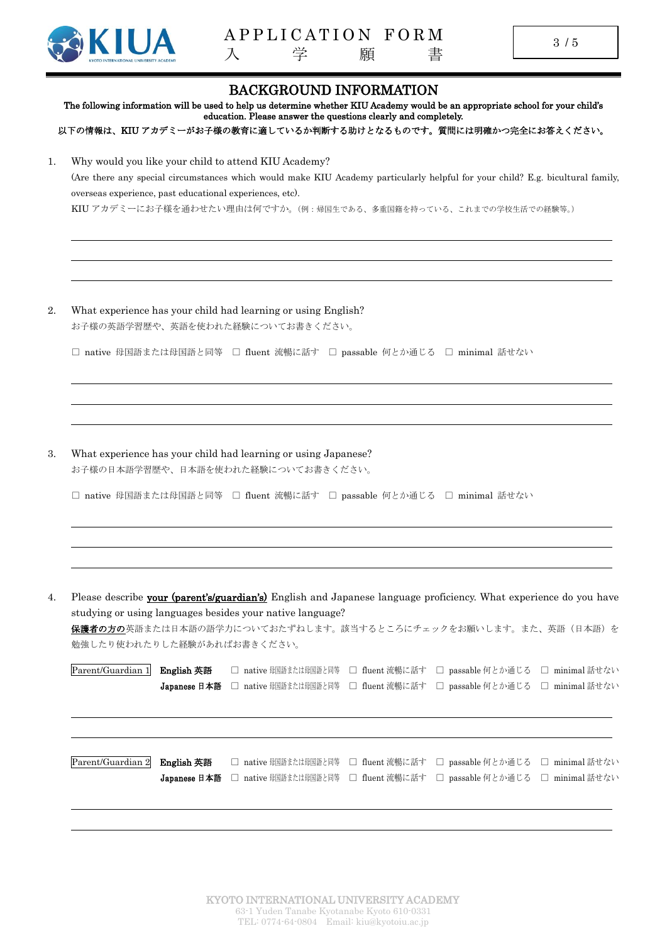

|    |                                                          |                            |                                                                                                      | <b>BACKGROUND INFORMATION</b>    | The following information will be used to help us determine whether KIU Academy would be an appropriate school for your child's                                                                    |                                  |
|----|----------------------------------------------------------|----------------------------|------------------------------------------------------------------------------------------------------|----------------------------------|----------------------------------------------------------------------------------------------------------------------------------------------------------------------------------------------------|----------------------------------|
|    |                                                          |                            | education. Please answer the questions clearly and completely.                                       |                                  | 以下の情報は、KIU アカデミーがお子様の教育に適しているか判断する助けとなるものです。質問には明確かつ完全にお答えください。                                                                                                                                    |                                  |
| 1. | overseas experience, past educational experiences, etc). |                            | Why would you like your child to attend KIU Academy?                                                 |                                  | (Are there any special circumstances which would make KIU Academy particularly helpful for your child? E.g. bicultural family,<br>KIU アカデミーにお子様を通わせたい理由は何ですか。(例:帰国生である、多重国籍を持っている、これまでの学校生活での経験等。) |                                  |
| 2. |                                                          |                            | What experience has your child had learning or using English?                                        |                                  |                                                                                                                                                                                                    |                                  |
|    |                                                          |                            | お子様の英語学習歴や、英語を使われた経験についてお書きください。                                                                     |                                  | □ native 母国語または母国語と同等 □ fluent 流暢に話す □ passable 何とか通じる □ minimal 話せない                                                                                                                              |                                  |
| 3. |                                                          |                            | What experience has your child had learning or using Japanese?<br>お子様の日本語学習歴や、日本語を使われた経験についてお書きください。 |                                  | □ native 母国語または母国語と同等 □ fluent 流暢に話す □ passable 何とか通じる □ minimal 話せない                                                                                                                              |                                  |
| 4. | 勉強したり使われたりした経験があればお書きください。                               |                            | studying or using languages besides your native language?                                            |                                  | Please describe your (parent's/guardian's) English and Japanese language proficiency. What experience do you have<br><b>保護者の方の</b> 英語または日本語の語学力についておたずねします。該当するところにチェックをお願いします。また、英語(日本語)を         |                                  |
|    | Parent/Guardian 1                                        | English 英語<br>Japanese 日本語 | □ native 母国語または母国語と同等<br>□ native 母国語または母国語と同等                                                       | □ fluent 流暢に話す<br>□ fluent 流暢に話す | □ passable 何とか通じる<br>□ passable 何とか通じる                                                                                                                                                             | □ minimal 話せない<br>□ minimal 話せない |
|    | Parent/Guardian 2                                        | English 英語<br>Japanese 日本語 | □ native 母国語または母国語と同等<br>□ native 母国語または母国語と同等                                                       | □ fluent 流暢に話す<br>□ fluent 流暢に話す | □ passable 何とか通じる<br>□ passable 何とか通じる                                                                                                                                                             | □ minimal 話せない<br>□ minimal 話せない |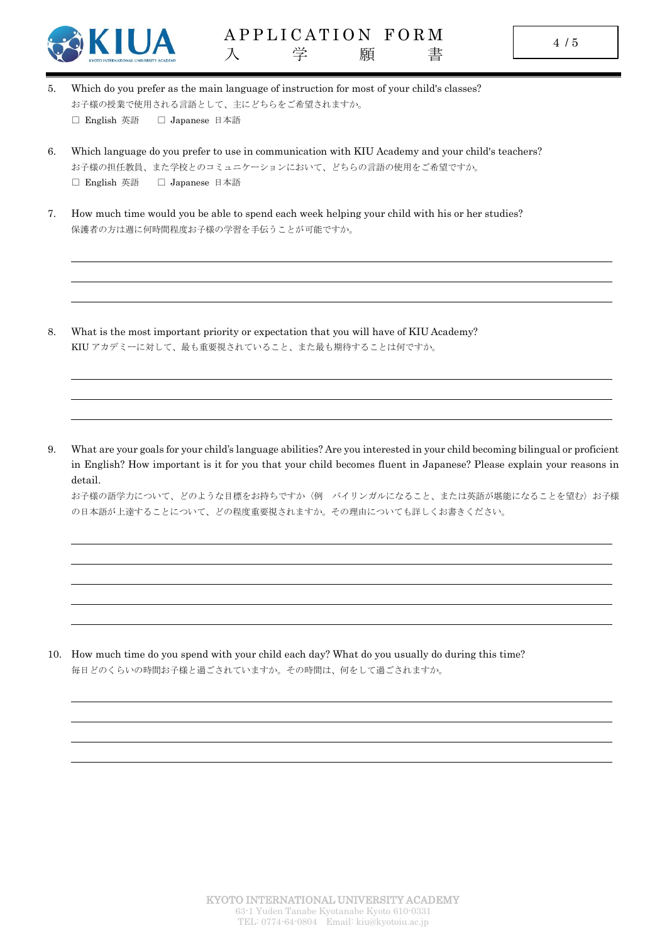

- 5. Which do you prefer as the main language of instruction for most of your child's classes? お子様の授業で使用される言語として、主にどちらをご希望されますか。 □ English 英語 □ Japanese 日本語
- 6. Which language do you prefer to use in communication with KIU Academy and your child's teachers? お子様の担任教員、また学校とのコミュニケーションにおいて、どちらの言語の使用をご希望ですか。 □ English 英語 □ Japanese 日本語
- 7. How much time would you be able to spend each week helping your child with his or her studies? 保護者の方は週に何時間程度お子様の学習を手伝うことが可能ですか。

8. What is the most important priority or expectation that you will have of KIU Academy? KIU アカデミーに対して、最も重要視されていること、また最も期待することは何ですか。

9. What are your goals for your child's language abilities? Are you interested in your child becoming bilingual or proficient in English? How important is it for you that your child becomes fluent in Japanese? Please explain your reasons in detail.

お子様の語学力について、どのような目標をお持ちですか〈例 バイリンガルになること、または英語が堪能になることを望む〉お子様 の日本語が上達することについて、どの程度重要視されますか。その理由についても詳しくお書きください。

10. How much time do you spend with your child each day? What do you usually do during this time? 毎日どのくらいの時間お子様と過ごされていますか。その時間は、何をして過ごされますか。